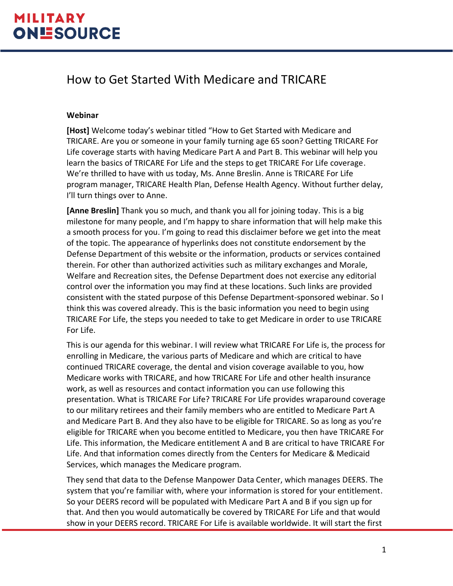#### How to Get Started With Medicare and TRICARE

#### **Webinar**

**[Host]** Welcome today's webinar titled "How to Get Started with Medicare and TRICARE. Are you or someone in your family turning age 65 soon? Getting TRICARE For Life coverage starts with having Medicare Part A and Part B. This webinar will help you learn the basics of TRICARE For Life and the steps to get TRICARE For Life coverage. We're thrilled to have with us today, Ms. Anne Breslin. Anne is TRICARE For Life program manager, TRICARE Health Plan, Defense Health Agency. Without further delay, I'll turn things over to Anne.

**[Anne Breslin]** Thank you so much, and thank you all for joining today. This is a big milestone for many people, and I'm happy to share information that will help make this a smooth process for you. I'm going to read this disclaimer before we get into the meat of the topic. The appearance of hyperlinks does not constitute endorsement by the Defense Department of this website or the information, products or services contained therein. For other than authorized activities such as military exchanges and Morale, Welfare and Recreation sites, the Defense Department does not exercise any editorial control over the information you may find at these locations. Such links are provided consistent with the stated purpose of this Defense Department-sponsored webinar. So I think this was covered already. This is the basic information you need to begin using TRICARE For Life, the steps you needed to take to get Medicare in order to use TRICARE For Life.

This is our agenda for this webinar. I will review what TRICARE For Life is, the process for enrolling in Medicare, the various parts of Medicare and which are critical to have continued TRICARE coverage, the dental and vision coverage available to you, how Medicare works with TRICARE, and how TRICARE For Life and other health insurance work, as well as resources and contact information you can use following this presentation. What is TRICARE For Life? TRICARE For Life provides wraparound coverage to our military retirees and their family members who are entitled to Medicare Part A and Medicare Part B. And they also have to be eligible for TRICARE. So as long as you're eligible for TRICARE when you become entitled to Medicare, you then have TRICARE For Life. This information, the Medicare entitlement A and B are critical to have TRICARE For Life. And that information comes directly from the Centers for Medicare & Medicaid Services, which manages the Medicare program.

They send that data to the Defense Manpower Data Center, which manages DEERS. The system that you're familiar with, where your information is stored for your entitlement. So your DEERS record will be populated with Medicare Part A and B if you sign up for that. And then you would automatically be covered by TRICARE For Life and that would show in your DEERS record. TRICARE For Life is available worldwide. It will start the first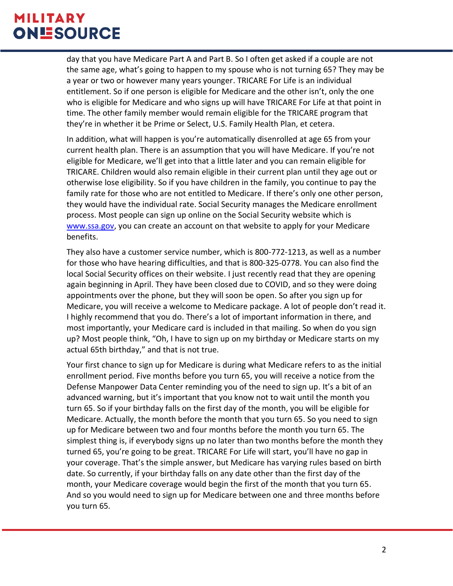day that you have Medicare Part A and Part B. So I often get asked if a couple are not the same age, what's going to happen to my spouse who is not turning 65? They may be a year or two or however many years younger. TRICARE For Life is an individual entitlement. So if one person is eligible for Medicare and the other isn't, only the one who is eligible for Medicare and who signs up will have TRICARE For Life at that point in time. The other family member would remain eligible for the TRICARE program that they're in whether it be Prime or Select, U.S. Family Health Plan, et cetera.

In addition, what will happen is you're automatically disenrolled at age 65 from your current health plan. There is an assumption that you will have Medicare. If you're not eligible for Medicare, we'll get into that a little later and you can remain eligible for TRICARE. Children would also remain eligible in their current plan until they age out or otherwise lose eligibility. So if you have children in the family, you continue to pay the family rate for those who are not entitled to Medicare. If there's only one other person, they would have the individual rate. Social Security manages the Medicare enrollment process. Most people can sign up online on the Social Security website which is [www.ssa.gov,](http://www.ssa.gov/) you can create an account on that website to apply for your Medicare benefits.

They also have a customer service number, which is 800-772-1213, as well as a number for those who have hearing difficulties, and that is 800-325-0778. You can also find the local Social Security offices on their website. I just recently read that they are opening again beginning in April. They have been closed due to COVID, and so they were doing appointments over the phone, but they will soon be open. So after you sign up for Medicare, you will receive a welcome to Medicare package. A lot of people don't read it. I highly recommend that you do. There's a lot of important information in there, and most importantly, your Medicare card is included in that mailing. So when do you sign up? Most people think, "Oh, I have to sign up on my birthday or Medicare starts on my actual 65th birthday," and that is not true.

Your first chance to sign up for Medicare is during what Medicare refers to as the initial enrollment period. Five months before you turn 65, you will receive a notice from the Defense Manpower Data Center reminding you of the need to sign up. It's a bit of an advanced warning, but it's important that you know not to wait until the month you turn 65. So if your birthday falls on the first day of the month, you will be eligible for Medicare. Actually, the month before the month that you turn 65. So you need to sign up for Medicare between two and four months before the month you turn 65. The simplest thing is, if everybody signs up no later than two months before the month they turned 65, you're going to be great. TRICARE For Life will start, you'll have no gap in your coverage. That's the simple answer, but Medicare has varying rules based on birth date. So currently, if your birthday falls on any date other than the first day of the month, your Medicare coverage would begin the first of the month that you turn 65. And so you would need to sign up for Medicare between one and three months before you turn 65.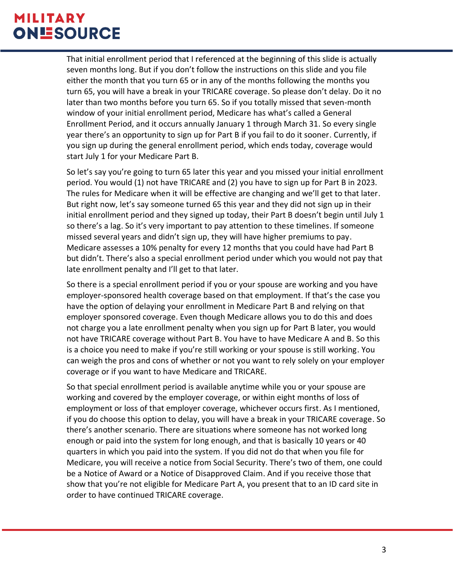That initial enrollment period that I referenced at the beginning of this slide is actually seven months long. But if you don't follow the instructions on this slide and you file either the month that you turn 65 or in any of the months following the months you turn 65, you will have a break in your TRICARE coverage. So please don't delay. Do it no later than two months before you turn 65. So if you totally missed that seven-month window of your initial enrollment period, Medicare has what's called a General Enrollment Period, and it occurs annually January 1 through March 31. So every single year there's an opportunity to sign up for Part B if you fail to do it sooner. Currently, if you sign up during the general enrollment period, which ends today, coverage would start July 1 for your Medicare Part B.

So let's say you're going to turn 65 later this year and you missed your initial enrollment period. You would (1) not have TRICARE and (2) you have to sign up for Part B in 2023. The rules for Medicare when it will be effective are changing and we'll get to that later. But right now, let's say someone turned 65 this year and they did not sign up in their initial enrollment period and they signed up today, their Part B doesn't begin until July 1 so there's a lag. So it's very important to pay attention to these timelines. If someone missed several years and didn't sign up, they will have higher premiums to pay. Medicare assesses a 10% penalty for every 12 months that you could have had Part B but didn't. There's also a special enrollment period under which you would not pay that late enrollment penalty and I'll get to that later.

So there is a special enrollment period if you or your spouse are working and you have employer-sponsored health coverage based on that employment. If that's the case you have the option of delaying your enrollment in Medicare Part B and relying on that employer sponsored coverage. Even though Medicare allows you to do this and does not charge you a late enrollment penalty when you sign up for Part B later, you would not have TRICARE coverage without Part B. You have to have Medicare A and B. So this is a choice you need to make if you're still working or your spouse is still working. You can weigh the pros and cons of whether or not you want to rely solely on your employer coverage or if you want to have Medicare and TRICARE.

So that special enrollment period is available anytime while you or your spouse are working and covered by the employer coverage, or within eight months of loss of employment or loss of that employer coverage, whichever occurs first. As I mentioned, if you do choose this option to delay, you will have a break in your TRICARE coverage. So there's another scenario. There are situations where someone has not worked long enough or paid into the system for long enough, and that is basically 10 years or 40 quarters in which you paid into the system. If you did not do that when you file for Medicare, you will receive a notice from Social Security. There's two of them, one could be a Notice of Award or a Notice of Disapproved Claim. And if you receive those that show that you're not eligible for Medicare Part A, you present that to an ID card site in order to have continued TRICARE coverage.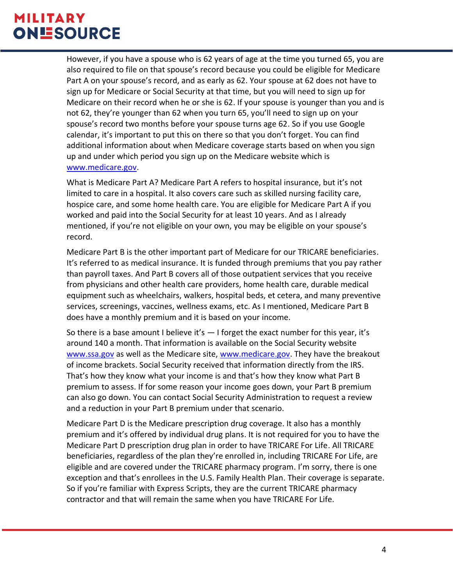However, if you have a spouse who is 62 years of age at the time you turned 65, you are also required to file on that spouse's record because you could be eligible for Medicare Part A on your spouse's record, and as early as 62. Your spouse at 62 does not have to sign up for Medicare or Social Security at that time, but you will need to sign up for Medicare on their record when he or she is 62. If your spouse is younger than you and is not 62, they're younger than 62 when you turn 65, you'll need to sign up on your spouse's record two months before your spouse turns age 62. So if you use Google calendar, it's important to put this on there so that you don't forget. You can find additional information about when Medicare coverage starts based on when you sign up and under which period you sign up on the Medicare website which is [www.medicare.gov.](http://www.medicare.gov/)

What is Medicare Part A? Medicare Part A refers to hospital insurance, but it's not limited to care in a hospital. It also covers care such as skilled nursing facility care, hospice care, and some home health care. You are eligible for Medicare Part A if you worked and paid into the Social Security for at least 10 years. And as I already mentioned, if you're not eligible on your own, you may be eligible on your spouse's record.

Medicare Part B is the other important part of Medicare for our TRICARE beneficiaries. It's referred to as medical insurance. It is funded through premiums that you pay rather than payroll taxes. And Part B covers all of those outpatient services that you receive from physicians and other health care providers, home health care, durable medical equipment such as wheelchairs, walkers, hospital beds, et cetera, and many preventive services, screenings, vaccines, wellness exams, etc. As I mentioned, Medicare Part B does have a monthly premium and it is based on your income.

So there is a base amount I believe it's  $-$  I forget the exact number for this year, it's around 140 a month. That information is available on the Social Security website [www.ssa.gov](http://www.ssa.gov/) as well as the Medicare site, [www.medicare.gov.](http://www.medicare.gov/) They have the breakout of income brackets. Social Security received that information directly from the IRS. That's how they know what your income is and that's how they know what Part B premium to assess. If for some reason your income goes down, your Part B premium can also go down. You can contact Social Security Administration to request a review and a reduction in your Part B premium under that scenario.

Medicare Part D is the Medicare prescription drug coverage. It also has a monthly premium and it's offered by individual drug plans. It is not required for you to have the Medicare Part D prescription drug plan in order to have TRICARE For Life. All TRICARE beneficiaries, regardless of the plan they're enrolled in, including TRICARE For Life, are eligible and are covered under the TRICARE pharmacy program. I'm sorry, there is one exception and that's enrollees in the U.S. Family Health Plan. Their coverage is separate. So if you're familiar with Express Scripts, they are the current TRICARE pharmacy contractor and that will remain the same when you have TRICARE For Life.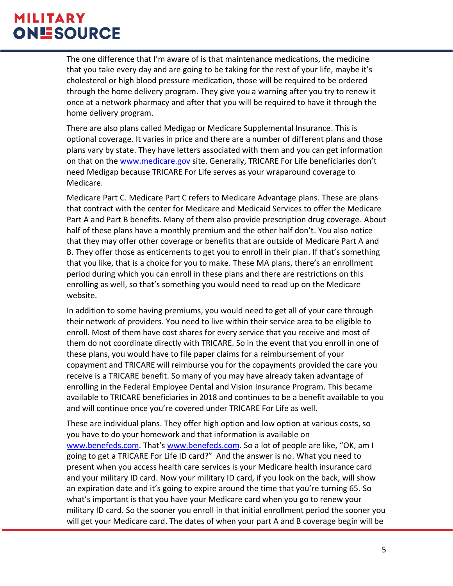The one difference that I'm aware of is that maintenance medications, the medicine that you take every day and are going to be taking for the rest of your life, maybe it's cholesterol or high blood pressure medication, those will be required to be ordered through the home delivery program. They give you a warning after you try to renew it once at a network pharmacy and after that you will be required to have it through the home delivery program.

There are also plans called Medigap or Medicare Supplemental Insurance. This is optional coverage. It varies in price and there are a number of different plans and those plans vary by state. They have letters associated with them and you can get information on that on the [www.medicare.gov](http://www.medicare.gov/) site. Generally, TRICARE For Life beneficiaries don't need Medigap because TRICARE For Life serves as your wraparound coverage to Medicare.

Medicare Part C. Medicare Part C refers to Medicare Advantage plans. These are plans that contract with the center for Medicare and Medicaid Services to offer the Medicare Part A and Part B benefits. Many of them also provide prescription drug coverage. About half of these plans have a monthly premium and the other half don't. You also notice that they may offer other coverage or benefits that are outside of Medicare Part A and B. They offer those as enticements to get you to enroll in their plan. If that's something that you like, that is a choice for you to make. These MA plans, there's an enrollment period during which you can enroll in these plans and there are restrictions on this enrolling as well, so that's something you would need to read up on the Medicare website.

In addition to some having premiums, you would need to get all of your care through their network of providers. You need to live within their service area to be eligible to enroll. Most of them have cost shares for every service that you receive and most of them do not coordinate directly with TRICARE. So in the event that you enroll in one of these plans, you would have to file paper claims for a reimbursement of your copayment and TRICARE will reimburse you for the copayments provided the care you receive is a TRICARE benefit. So many of you may have already taken advantage of enrolling in the Federal Employee Dental and Vision Insurance Program. This became available to TRICARE beneficiaries in 2018 and continues to be a benefit available to you and will continue once you're covered under TRICARE For Life as well.

These are individual plans. They offer high option and low option at various costs, so you have to do your homework and that information is available on [www.benefeds.com.](http://www.benefeds.com/) That's [www.benefeds.com.](http://www.benefeds.com/) So a lot of people are like, "OK, am I going to get a TRICARE For Life ID card?" And the answer is no. What you need to present when you access health care services is your Medicare health insurance card and your military ID card. Now your military ID card, if you look on the back, will show an expiration date and it's going to expire around the time that you're turning 65. So what's important is that you have your Medicare card when you go to renew your military ID card. So the sooner you enroll in that initial enrollment period the sooner you will get your Medicare card. The dates of when your part A and B coverage begin will be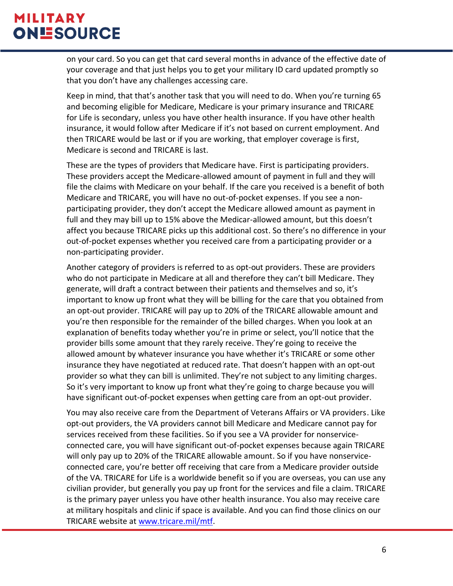on your card. So you can get that card several months in advance of the effective date of your coverage and that just helps you to get your military ID card updated promptly so that you don't have any challenges accessing care.

Keep in mind, that that's another task that you will need to do. When you're turning 65 and becoming eligible for Medicare, Medicare is your primary insurance and TRICARE for Life is secondary, unless you have other health insurance. If you have other health insurance, it would follow after Medicare if it's not based on current employment. And then TRICARE would be last or if you are working, that employer coverage is first, Medicare is second and TRICARE is last.

These are the types of providers that Medicare have. First is participating providers. These providers accept the Medicare-allowed amount of payment in full and they will file the claims with Medicare on your behalf. If the care you received is a benefit of both Medicare and TRICARE, you will have no out-of-pocket expenses. If you see a nonparticipating provider, they don't accept the Medicare allowed amount as payment in full and they may bill up to 15% above the Medicar-allowed amount, but this doesn't affect you because TRICARE picks up this additional cost. So there's no difference in your out-of-pocket expenses whether you received care from a participating provider or a non-participating provider.

Another category of providers is referred to as opt-out providers. These are providers who do not participate in Medicare at all and therefore they can't bill Medicare. They generate, will draft a contract between their patients and themselves and so, it's important to know up front what they will be billing for the care that you obtained from an opt-out provider. TRICARE will pay up to 20% of the TRICARE allowable amount and you're then responsible for the remainder of the billed charges. When you look at an explanation of benefits today whether you're in prime or select, you'll notice that the provider bills some amount that they rarely receive. They're going to receive the allowed amount by whatever insurance you have whether it's TRICARE or some other insurance they have negotiated at reduced rate. That doesn't happen with an opt-out provider so what they can bill is unlimited. They're not subject to any limiting charges. So it's very important to know up front what they're going to charge because you will have significant out-of-pocket expenses when getting care from an opt-out provider.

You may also receive care from the Department of Veterans Affairs or VA providers. Like opt-out providers, the VA providers cannot bill Medicare and Medicare cannot pay for services received from these facilities. So if you see a VA provider for nonserviceconnected care, you will have significant out-of-pocket expenses because again TRICARE will only pay up to 20% of the TRICARE allowable amount. So if you have nonserviceconnected care, you're better off receiving that care from a Medicare provider outside of the VA. TRICARE for Life is a worldwide benefit so if you are overseas, you can use any civilian provider, but generally you pay up front for the services and file a claim. TRICARE is the primary payer unless you have other health insurance. You also may receive care at military hospitals and clinic if space is available. And you can find those clinics on our TRICARE website at [www.tricare.mil/mtf.](http://www.tricare.mil/mtf)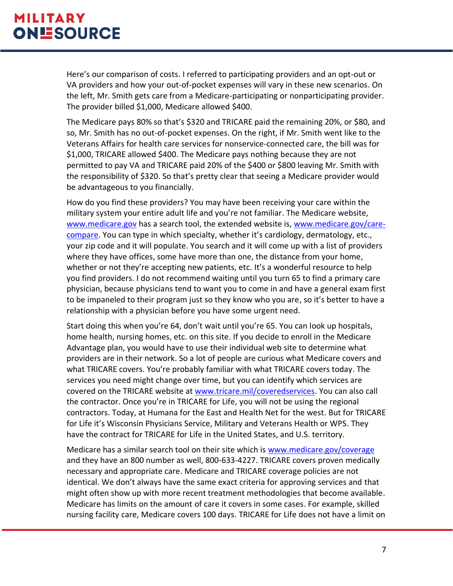Here's our comparison of costs. I referred to participating providers and an opt-out or VA providers and how your out-of-pocket expenses will vary in these new scenarios. On the left, Mr. Smith gets care from a Medicare-participating or nonparticipating provider. The provider billed \$1,000, Medicare allowed \$400.

The Medicare pays 80% so that's \$320 and TRICARE paid the remaining 20%, or \$80, and so, Mr. Smith has no out-of-pocket expenses. On the right, if Mr. Smith went like to the Veterans Affairs for health care services for nonservice-connected care, the bill was for \$1,000, TRICARE allowed \$400. The Medicare pays nothing because they are not permitted to pay VA and TRICARE paid 20% of the \$400 or \$800 leaving Mr. Smith with the responsibility of \$320. So that's pretty clear that seeing a Medicare provider would be advantageous to you financially.

How do you find these providers? You may have been receiving your care within the military system your entire adult life and you're not familiar. The Medicare website, [www.medicare.gov](http://www.medicare.gov/) has a search tool, the extended website is, [www.medicare.gov/care](http://www.medicare.gov/care-compare)[compare.](http://www.medicare.gov/care-compare) You can type in which specialty, whether it's cardiology, dermatology, etc., your zip code and it will populate. You search and it will come up with a list of providers where they have offices, some have more than one, the distance from your home, whether or not they're accepting new patients, etc. It's a wonderful resource to help you find providers. I do not recommend waiting until you turn 65 to find a primary care physician, because physicians tend to want you to come in and have a general exam first to be impaneled to their program just so they know who you are, so it's better to have a relationship with a physician before you have some urgent need.

Start doing this when you're 64, don't wait until you're 65. You can look up hospitals, home health, nursing homes, etc. on this site. If you decide to enroll in the Medicare Advantage plan, you would have to use their individual web site to determine what providers are in their network. So a lot of people are curious what Medicare covers and what TRICARE covers. You're probably familiar with what TRICARE covers today. The services you need might change over time, but you can identify which services are covered on the TRICARE website at [www.tricare.mil/coveredservices.](http://www.tricare.mil/coveredservices) You can also call the contractor. Once you're in TRICARE for Life, you will not be using the regional contractors. Today, at Humana for the East and Health Net for the west. But for TRICARE for Life it's Wisconsin Physicians Service, Military and Veterans Health or WPS. They have the contract for TRICARE for Life in the United States, and U.S. territory.

Medicare has a similar search tool on their site which is [www.medicare.gov/coverage](http://www.medicare.gov/coverage) and they have an 800 number as well, 800-633-4227. TRICARE covers proven medically necessary and appropriate care. Medicare and TRICARE coverage policies are not identical. We don't always have the same exact criteria for approving services and that might often show up with more recent treatment methodologies that become available. Medicare has limits on the amount of care it covers in some cases. For example, skilled nursing facility care, Medicare covers 100 days. TRICARE for Life does not have a limit on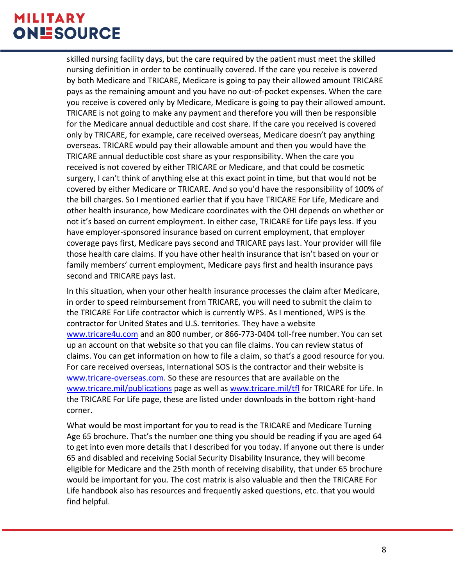skilled nursing facility days, but the care required by the patient must meet the skilled nursing definition in order to be continually covered. If the care you receive is covered by both Medicare and TRICARE, Medicare is going to pay their allowed amount TRICARE pays as the remaining amount and you have no out-of-pocket expenses. When the care you receive is covered only by Medicare, Medicare is going to pay their allowed amount. TRICARE is not going to make any payment and therefore you will then be responsible for the Medicare annual deductible and cost share. If the care you received is covered only by TRICARE, for example, care received overseas, Medicare doesn't pay anything overseas. TRICARE would pay their allowable amount and then you would have the TRICARE annual deductible cost share as your responsibility. When the care you received is not covered by either TRICARE or Medicare, and that could be cosmetic surgery, I can't think of anything else at this exact point in time, but that would not be covered by either Medicare or TRICARE. And so you'd have the responsibility of 100% of the bill charges. So I mentioned earlier that if you have TRICARE For Life, Medicare and other health insurance, how Medicare coordinates with the OHI depends on whether or not it's based on current employment. In either case, TRICARE for Life pays less. If you have employer-sponsored insurance based on current employment, that employer coverage pays first, Medicare pays second and TRICARE pays last. Your provider will file those health care claims. If you have other health insurance that isn't based on your or family members' current employment, Medicare pays first and health insurance pays second and TRICARE pays last.

In this situation, when your other health insurance processes the claim after Medicare, in order to speed reimbursement from TRICARE, you will need to submit the claim to the TRICARE For Life contractor which is currently WPS. As I mentioned, WPS is the contractor for United States and U.S. territories. They have a website [www.tricare4u.com](http://www.tricare4u.com/) and an 800 number, or 866-773-0404 toll-free number. You can set up an account on that website so that you can file claims. You can review status of claims. You can get information on how to file a claim, so that's a good resource for you. For care received overseas, International SOS is the contractor and their website is [www.tricare-overseas.com.](http://www.tricare-overseas.com/) So these are resources that are available on the [www.tricare.mil/publications](http://www.tricare.mil/publications) page as well as [www.tricare.mil/tfl](http://www.tricare.mil/tfl) for TRICARE for Life. In the TRICARE For Life page, these are listed under downloads in the bottom right-hand corner.

What would be most important for you to read is the TRICARE and Medicare Turning Age 65 brochure. That's the number one thing you should be reading if you are aged 64 to get into even more details that I described for you today. If anyone out there is under 65 and disabled and receiving Social Security Disability Insurance, they will become eligible for Medicare and the 25th month of receiving disability, that under 65 brochure would be important for you. The cost matrix is also valuable and then the TRICARE For Life handbook also has resources and frequently asked questions, etc. that you would find helpful.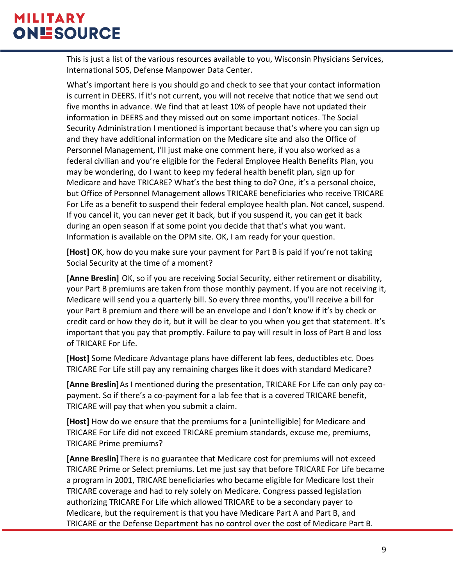This is just a list of the various resources available to you, Wisconsin Physicians Services, International SOS, Defense Manpower Data Center.

What's important here is you should go and check to see that your contact information is current in DEERS. If it's not current, you will not receive that notice that we send out five months in advance. We find that at least 10% of people have not updated their information in DEERS and they missed out on some important notices. The Social Security Administration I mentioned is important because that's where you can sign up and they have additional information on the Medicare site and also the Office of Personnel Management, I'll just make one comment here, if you also worked as a federal civilian and you're eligible for the Federal Employee Health Benefits Plan, you may be wondering, do I want to keep my federal health benefit plan, sign up for Medicare and have TRICARE? What's the best thing to do? One, it's a personal choice, but Office of Personnel Management allows TRICARE beneficiaries who receive TRICARE For Life as a benefit to suspend their federal employee health plan. Not cancel, suspend. If you cancel it, you can never get it back, but if you suspend it, you can get it back during an open season if at some point you decide that that's what you want. Information is available on the OPM site. OK, I am ready for your question.

**[Host]** OK, how do you make sure your payment for Part B is paid if you're not taking Social Security at the time of a moment?

**[Anne Breslin]** OK, so if you are receiving Social Security, either retirement or disability, your Part B premiums are taken from those monthly payment. If you are not receiving it, Medicare will send you a quarterly bill. So every three months, you'll receive a bill for your Part B premium and there will be an envelope and I don't know if it's by check or credit card or how they do it, but it will be clear to you when you get that statement. It's important that you pay that promptly. Failure to pay will result in loss of Part B and loss of TRICARE For Life.

**[Host]** Some Medicare Advantage plans have different lab fees, deductibles etc. Does TRICARE For Life still pay any remaining charges like it does with standard Medicare?

**[Anne Breslin]**As I mentioned during the presentation, TRICARE For Life can only pay copayment. So if there's a co-payment for a lab fee that is a covered TRICARE benefit, TRICARE will pay that when you submit a claim.

**[Host]** How do we ensure that the premiums for a [unintelligible] for Medicare and TRICARE For Life did not exceed TRICARE premium standards, excuse me, premiums, TRICARE Prime premiums?

**[Anne Breslin]**There is no guarantee that Medicare cost for premiums will not exceed TRICARE Prime or Select premiums. Let me just say that before TRICARE For Life became a program in 2001, TRICARE beneficiaries who became eligible for Medicare lost their TRICARE coverage and had to rely solely on Medicare. Congress passed legislation authorizing TRICARE For Life which allowed TRICARE to be a secondary payer to Medicare, but the requirement is that you have Medicare Part A and Part B, and TRICARE or the Defense Department has no control over the cost of Medicare Part B.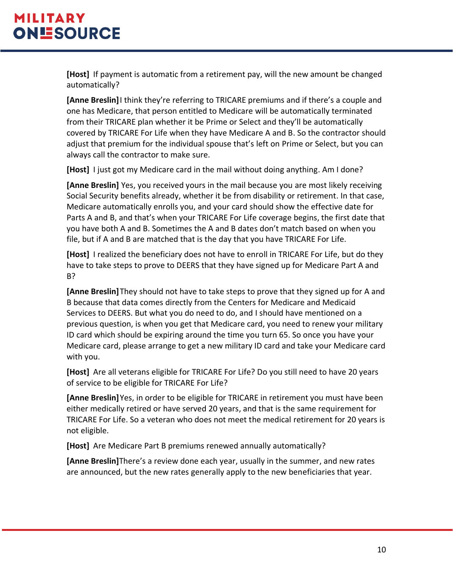**[Host]** If payment is automatic from a retirement pay, will the new amount be changed automatically?

**[Anne Breslin]**I think they're referring to TRICARE premiums and if there's a couple and one has Medicare, that person entitled to Medicare will be automatically terminated from their TRICARE plan whether it be Prime or Select and they'll be automatically covered by TRICARE For Life when they have Medicare A and B. So the contractor should adjust that premium for the individual spouse that's left on Prime or Select, but you can always call the contractor to make sure.

**[Host]** I just got my Medicare card in the mail without doing anything. Am I done?

**[Anne Breslin]** Yes, you received yours in the mail because you are most likely receiving Social Security benefits already, whether it be from disability or retirement. In that case, Medicare automatically enrolls you, and your card should show the effective date for Parts A and B, and that's when your TRICARE For Life coverage begins, the first date that you have both A and B. Sometimes the A and B dates don't match based on when you file, but if A and B are matched that is the day that you have TRICARE For Life.

**[Host]** I realized the beneficiary does not have to enroll in TRICARE For Life, but do they have to take steps to prove to DEERS that they have signed up for Medicare Part A and B?

**[Anne Breslin]**They should not have to take steps to prove that they signed up for A and B because that data comes directly from the Centers for Medicare and Medicaid Services to DEERS. But what you do need to do, and I should have mentioned on a previous question, is when you get that Medicare card, you need to renew your military ID card which should be expiring around the time you turn 65. So once you have your Medicare card, please arrange to get a new military ID card and take your Medicare card with you.

**[Host]** Are all veterans eligible for TRICARE For Life? Do you still need to have 20 years of service to be eligible for TRICARE For Life?

**[Anne Breslin]**Yes, in order to be eligible for TRICARE in retirement you must have been either medically retired or have served 20 years, and that is the same requirement for TRICARE For Life. So a veteran who does not meet the medical retirement for 20 years is not eligible.

**[Host]** Are Medicare Part B premiums renewed annually automatically?

**[Anne Breslin]**There's a review done each year, usually in the summer, and new rates are announced, but the new rates generally apply to the new beneficiaries that year.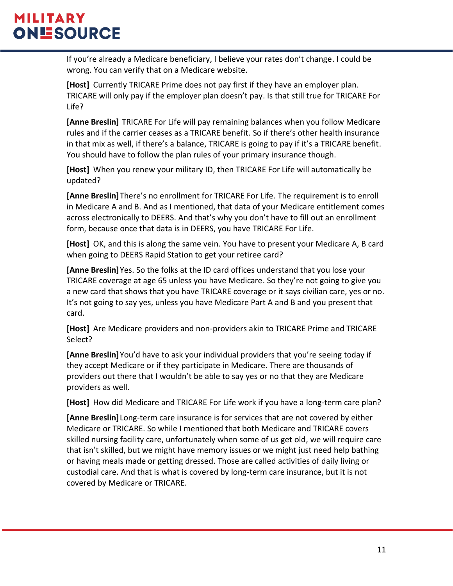If you're already a Medicare beneficiary, I believe your rates don't change. I could be wrong. You can verify that on a Medicare website.

**[Host]** Currently TRICARE Prime does not pay first if they have an employer plan. TRICARE will only pay if the employer plan doesn't pay. Is that still true for TRICARE For Life?

**[Anne Breslin]** TRICARE For Life will pay remaining balances when you follow Medicare rules and if the carrier ceases as a TRICARE benefit. So if there's other health insurance in that mix as well, if there's a balance, TRICARE is going to pay if it's a TRICARE benefit. You should have to follow the plan rules of your primary insurance though.

**[Host]** When you renew your military ID, then TRICARE For Life will automatically be updated?

**[Anne Breslin]**There's no enrollment for TRICARE For Life. The requirement is to enroll in Medicare A and B. And as I mentioned, that data of your Medicare entitlement comes across electronically to DEERS. And that's why you don't have to fill out an enrollment form, because once that data is in DEERS, you have TRICARE For Life.

**[Host]** OK, and this is along the same vein. You have to present your Medicare A, B card when going to DEERS Rapid Station to get your retiree card?

**[Anne Breslin]**Yes. So the folks at the ID card offices understand that you lose your TRICARE coverage at age 65 unless you have Medicare. So they're not going to give you a new card that shows that you have TRICARE coverage or it says civilian care, yes or no. It's not going to say yes, unless you have Medicare Part A and B and you present that card.

**[Host]** Are Medicare providers and non-providers akin to TRICARE Prime and TRICARE Select?

**[Anne Breslin]**You'd have to ask your individual providers that you're seeing today if they accept Medicare or if they participate in Medicare. There are thousands of providers out there that I wouldn't be able to say yes or no that they are Medicare providers as well.

**[Host]** How did Medicare and TRICARE For Life work if you have a long-term care plan?

**[Anne Breslin]**Long-term care insurance is for services that are not covered by either Medicare or TRICARE. So while I mentioned that both Medicare and TRICARE covers skilled nursing facility care, unfortunately when some of us get old, we will require care that isn't skilled, but we might have memory issues or we might just need help bathing or having meals made or getting dressed. Those are called activities of daily living or custodial care. And that is what is covered by long-term care insurance, but it is not covered by Medicare or TRICARE.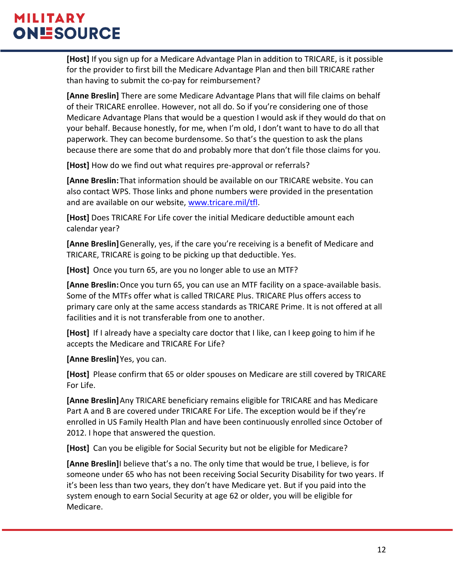**[Host]** If you sign up for a Medicare Advantage Plan in addition to TRICARE, is it possible for the provider to first bill the Medicare Advantage Plan and then bill TRICARE rather than having to submit the co-pay for reimbursement?

**[Anne Breslin]** There are some Medicare Advantage Plans that will file claims on behalf of their TRICARE enrollee. However, not all do. So if you're considering one of those Medicare Advantage Plans that would be a question I would ask if they would do that on your behalf. Because honestly, for me, when I'm old, I don't want to have to do all that paperwork. They can become burdensome. So that's the question to ask the plans because there are some that do and probably more that don't file those claims for you.

**[Host]** How do we find out what requires pre-approval or referrals?

**[Anne Breslin:** That information should be available on our TRICARE website. You can also contact WPS. Those links and phone numbers were provided in the presentation and are available on our website, [www.tricare.mil/tfl.](http://www.tricare.mil/tfl)

**[Host]** Does TRICARE For Life cover the initial Medicare deductible amount each calendar year?

**[Anne Breslin]**Generally, yes, if the care you're receiving is a benefit of Medicare and TRICARE, TRICARE is going to be picking up that deductible. Yes.

**[Host]** Once you turn 65, are you no longer able to use an MTF?

**[Anne Breslin:**Once you turn 65, you can use an MTF facility on a space-available basis. Some of the MTFs offer what is called TRICARE Plus. TRICARE Plus offers access to primary care only at the same access standards as TRICARE Prime. It is not offered at all facilities and it is not transferable from one to another.

**[Host]** If I already have a specialty care doctor that I like, can I keep going to him if he accepts the Medicare and TRICARE For Life?

**[Anne Breslin]**Yes, you can.

**[Host]** Please confirm that 65 or older spouses on Medicare are still covered by TRICARE For Life.

**[Anne Breslin]**Any TRICARE beneficiary remains eligible for TRICARE and has Medicare Part A and B are covered under TRICARE For Life. The exception would be if they're enrolled in US Family Health Plan and have been continuously enrolled since October of 2012. I hope that answered the question.

**[Host]** Can you be eligible for Social Security but not be eligible for Medicare?

**[Anne Breslin]**I believe that's a no. The only time that would be true, I believe, is for someone under 65 who has not been receiving Social Security Disability for two years. If it's been less than two years, they don't have Medicare yet. But if you paid into the system enough to earn Social Security at age 62 or older, you will be eligible for Medicare.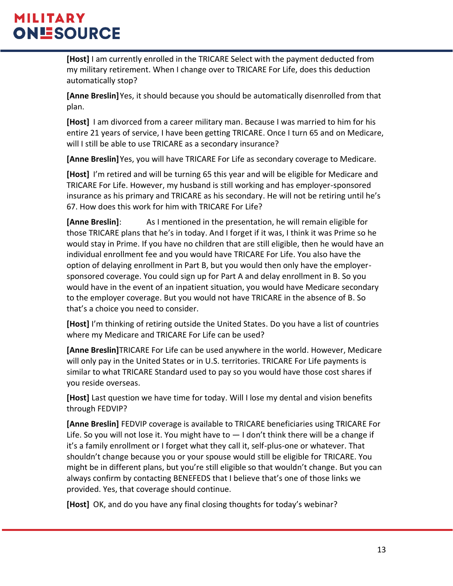**[Host]** I am currently enrolled in the TRICARE Select with the payment deducted from my military retirement. When I change over to TRICARE For Life, does this deduction automatically stop?

**[Anne Breslin]**Yes, it should because you should be automatically disenrolled from that plan.

**[Host]** I am divorced from a career military man. Because I was married to him for his entire 21 years of service, I have been getting TRICARE. Once I turn 65 and on Medicare, will I still be able to use TRICARE as a secondary insurance?

**[Anne Breslin]**Yes, you will have TRICARE For Life as secondary coverage to Medicare.

**[Host]** I'm retired and will be turning 65 this year and will be eligible for Medicare and TRICARE For Life. However, my husband is still working and has employer-sponsored insurance as his primary and TRICARE as his secondary. He will not be retiring until he's 67. How does this work for him with TRICARE For Life?

**[Anne Breslin]**: As I mentioned in the presentation, he will remain eligible for those TRICARE plans that he's in today. And I forget if it was, I think it was Prime so he would stay in Prime. If you have no children that are still eligible, then he would have an individual enrollment fee and you would have TRICARE For Life. You also have the option of delaying enrollment in Part B, but you would then only have the employersponsored coverage. You could sign up for Part A and delay enrollment in B. So you would have in the event of an inpatient situation, you would have Medicare secondary to the employer coverage. But you would not have TRICARE in the absence of B. So that's a choice you need to consider.

**[Host]** I'm thinking of retiring outside the United States. Do you have a list of countries where my Medicare and TRICARE For Life can be used?

**[Anne Breslin]**TRICARE For Life can be used anywhere in the world. However, Medicare will only pay in the United States or in U.S. territories. TRICARE For Life payments is similar to what TRICARE Standard used to pay so you would have those cost shares if you reside overseas.

**[Host]** Last question we have time for today. Will I lose my dental and vision benefits through FEDVIP?

**[Anne Breslin]** FEDVIP coverage is available to TRICARE beneficiaries using TRICARE For Life. So you will not lose it. You might have to  $-1$  don't think there will be a change if it's a family enrollment or I forget what they call it, self-plus-one or whatever. That shouldn't change because you or your spouse would still be eligible for TRICARE. You might be in different plans, but you're still eligible so that wouldn't change. But you can always confirm by contacting BENEFEDS that I believe that's one of those links we provided. Yes, that coverage should continue.

**[Host]** OK, and do you have any final closing thoughts for today's webinar?